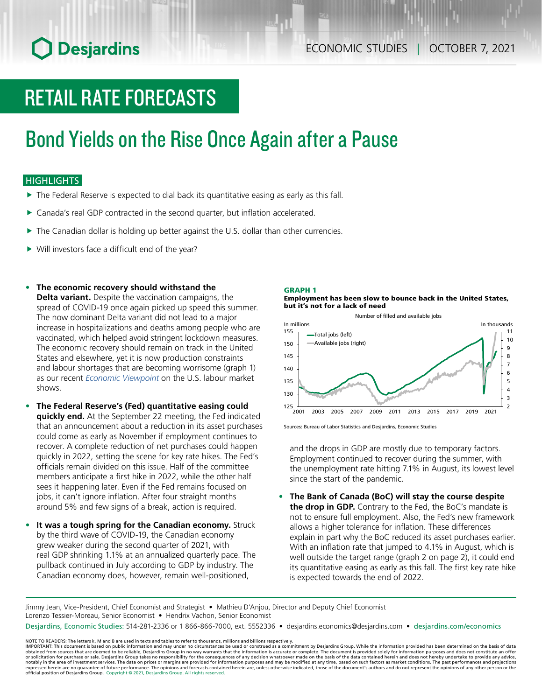# **O** Desjardins

# RETAIL RATE FORECASTS

# Bond Yields on the Rise Once Again after a Pause

## **HIGHLIGHTS**

- $\blacktriangleright$  The Federal Reserve is expected to dial back its quantitative easing as early as this fall.
- ▶ Canada's real GDP contracted in the second quarter, but inflation accelerated.
- $\blacktriangleright$  The Canadian dollar is holding up better against the U.S. dollar than other currencies.
- $\triangleright$  Will investors face a difficult end of the year?
- **• The economic recovery should withstand the**

**Delta variant.** Despite the vaccination campaigns, the spread of COVID-19 once again picked up speed this summer. The now dominant Delta variant did not lead to a major increase in hospitalizations and deaths among people who are vaccinated, which helped avoid stringent lockdown measures. The economic recovery should remain on track in the United States and elsewhere, yet it is now production constraints and labour shortages that are becoming worrisome (graph 1) as our recent *Economic [Viewpoint](https://www.desjardins.com/ressources/pdf/pv210924-e.pdf?resVer=1632491785000)* on the U.S. labour market shows.

- **• The Federal Reserve's (Fed) quantitative easing could quickly end.** At the September 22 meeting, the Fed indicated that an announcement about a reduction in its asset purchases could come as early as November if employment continues to recover. A complete reduction of net purchases could happen quickly in 2022, setting the scene for key rate hikes. The Fed's officials remain divided on this issue. Half of the committee members anticipate a first hike in 2022, while the other half sees it happening later. Even if the Fed remains focused on jobs, it can't ignore inflation. After four straight months around 5% and few signs of a break, action is required.
- **It was a tough spring for the Canadian economy.** Struck by the third wave of COVID-19, the Canadian economy grew weaker during the second quarter of 2021, with real GDP shrinking 1.1% at an annualized quarterly pace. The pullback continued in July according to GDP by industry. The Canadian economy does, however, remain well-positioned,

### GRAPH 1

### Employment has been slow to bounce back in the United States, but it's not for a lack of need



Sources: Bureau of Labor Statistics and Desjardins, Economic Studies

and the drops in GDP are mostly due to temporary factors. Employment continued to recover during the summer, with the unemployment rate hitting 7.1% in August, its lowest level since the start of the pandemic.

**• The Bank of Canada (BoC) will stay the course despite the drop in GDP.** Contrary to the Fed, the BoC's mandate is not to ensure full employment. Also, the Fed's new framework allows a higher tolerance for inflation. These differences explain in part why the BoC reduced its asset purchases earlier. With an inflation rate that jumped to 4.1% in August, which is well outside the target range (graph 2 on page 2), it could end its quantitative easing as early as this fall. The first key rate hike is expected towards the end of 2022.

Jimmy Jean, Vice-President, Chief Economist and Strategist • Mathieu D'Anjou, Director and Deputy Chief Economist Lorenzo Tessier-Moreau, Senior Economist • Hendrix Vachon, Senior Economist

Desjardins, Economic Studies: 514-281-2336 or 1 866-866-7000, ext. 5552336 • desjardins.economics@desjardins.com • [desjardins.com/economics](http://desjardins.com/economics)

NOTE TO READERS: The letters k, M and B are used in texts and tables to refer to thousands, millions and billions respectively.<br>IMPORTANT: This document is based on public information and may under no circumstances be used obtained from sources that are deemed to be reliable, Desjardins Group in no way warrants that the information is accurate or complete. The document is provided solely for information purposes and does not constitute an of expressed herein are no guarantee of future performance. The opinions and forecasts contained herein are, unless otherwise indicated, those of the document's authors and do not represent the opinions of any other person or official position of Desjardins Group. Copyright © 2021, Desjardins Group. All rights reserved.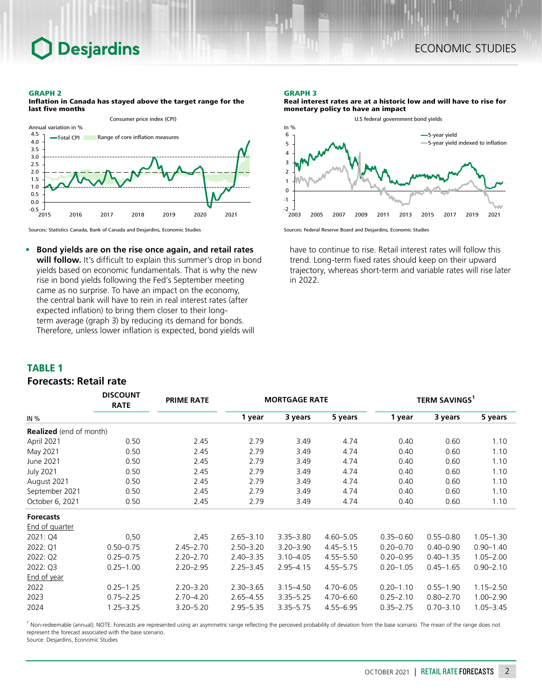# **Desjardins**

#### GRAPH 2



Inflation in Canada has stayed above the target range for the last five months



*DISCOUNT* 

**• Bond yields are on the rise once again, and retail rates will follow.** It's difficult to explain this summer's drop in bond yields based on economic fundamentals. That is why the new rise in bond yields following the Fed's September meeting came as no surprise. To have an impact on the economy, the central bank will have to rein in real interest rates (after expected inflation) to bring them closer to their longterm average (graph 3) by reducing its demand for bonds. Therefore, unless lower inflation is expected, bond yields will

### GRAPH 3

Real interest rates are at a historic low and will have to rise for monetary policy to have an impact



Sources: Federal Reserve Board and Desjardins, Economic Studies

have to continue to rise. Retail interest rates will follow this trend. Long-term fixed rates should keep on their upward trajectory, whereas short-term and variable rates will rise later in 2022.

### TABLE 1

## *Forecasts: Retail rate*

|                                | <b>DISCOUNT</b><br><b>RATE</b> | <b>PRIME RATE</b> |               | <b>MORTGAGE RATE</b> |               | <b>TERM SAVINGS<sup>1</sup></b> |               |               |  |
|--------------------------------|--------------------------------|-------------------|---------------|----------------------|---------------|---------------------------------|---------------|---------------|--|
| IN $%$                         |                                |                   | 1 year        | 3 years              | 5 years       | 1 year                          | 3 years       | 5 years       |  |
| <b>Realized</b> (end of month) |                                |                   |               |                      |               |                                 |               |               |  |
| April 2021                     | 0.50                           | 2.45              | 2.79          | 3.49                 | 4.74          | 0.40                            | 0.60          | 1.10          |  |
| May 2021                       | 0.50                           | 2.45              | 2.79          | 3.49                 | 4.74          | 0.40                            | 0.60          | 1.10          |  |
| June 2021                      | 0.50                           | 2.45              | 2.79          | 3.49                 | 4.74          | 0.40                            | 0.60          | 1.10          |  |
| <b>July 2021</b>               | 0.50                           | 2.45              | 2.79          | 3.49                 | 4.74          | 0.40                            | 0.60          | 1.10          |  |
| August 2021                    | 0.50                           | 2.45              | 2.79          | 3.49                 | 4.74          | 0.40                            | 0.60          | 1.10          |  |
| September 2021                 | 0.50                           | 2.45              | 2.79          | 3.49                 | 4.74          | 0.40                            | 0.60          | 1.10          |  |
| October 6, 2021                | 0.50                           | 2.45              | 2.79          | 3.49                 | 4.74          | 0.40                            | 0.60          | 1.10          |  |
| <b>Forecasts</b>               |                                |                   |               |                      |               |                                 |               |               |  |
| <b>End of quarter</b>          |                                |                   |               |                      |               |                                 |               |               |  |
| 2021: Q4                       | 0,50                           | 2,45              | $2.65 - 3.10$ | $3.35 - 3.80$        | $4.60 - 5.05$ | $0.35 - 0.60$                   | $0.55 - 0.80$ | $1.05 - 1.30$ |  |
| 2022: Q1                       | $0.50 - 0.75$                  | $2.45 - 2.70$     | $2.50 - 3.20$ | $3.20 - 3.90$        | $4.45 - 5.15$ | $0.20 - 0.70$                   | $0.40 - 0.90$ | $0.90 - 1.40$ |  |
| 2022: Q2                       | $0.25 - 0.75$                  | $2.20 - 2.70$     | $2.40 - 3.35$ | $3.10 - 4.05$        | $4.55 - 5.50$ | $0.20 - 0.95$                   | $0.40 - 1.35$ | $1.05 - 2.00$ |  |
| 2022: Q3                       | $0.25 - 1.00$                  | $2.20 - 2.95$     | $2.25 - 3.45$ | $2.95 - 4.15$        | $4.55 - 5.75$ | $0.20 - 1.05$                   | $0.45 - 1.65$ | $0.90 - 2.10$ |  |
| End of year                    |                                |                   |               |                      |               |                                 |               |               |  |
| 2022                           | $0.25 - 1.25$                  | $2.20 - 3.20$     | $2.30 - 3.65$ | $3.15 - 4.50$        | $4.70 - 6.05$ | $0.20 - 1.10$                   | $0.55 - 1.90$ | $1.15 - 2.50$ |  |
| 2023                           | $0.75 - 2.25$                  | $2.70 - 4.20$     | $2.65 - 4.55$ | $3.35 - 5.25$        | 4.70 - 6.60   | $0.25 - 2.10$                   | $0.80 - 2.70$ | $1.00 - 2.90$ |  |
| 2024                           | $1.25 - 3.25$                  | $3.20 - 5.20$     | $2.95 - 5.35$ | $3.35 - 5.75$        | $4.55 - 6.95$ | $0.35 - 2.75$                   | $0.70 - 3.10$ | $1.05 - 3.45$ |  |

<sup>1</sup> Non-redeemable (annual); NOTE: Forecasts are represented using an asymmetric range reflecting the perceived probability of deviation from the base scenario. The mean of the range does not represent the forecast associated with the base scenario.

Source: Desjardins, Economic Studies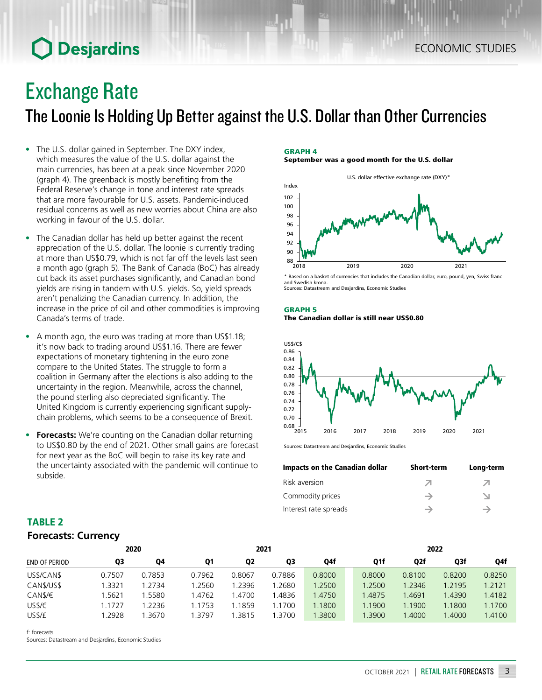# **O** Desjardins

# Exchange Rate

The Loonie Is Holding Up Better against the U.S. Dollar than Other Currencies

- The U.S. dollar gained in September. The DXY index, which measures the value of the U.S. dollar against the main currencies, has been at a peak since November 2020 (graph 4). The greenback is mostly benefiting from the Federal Reserve's change in tone and interest rate spreads that are more favourable for U.S. assets. Pandemic-induced residual concerns as well as new worries about China are also working in favour of the U.S. dollar.
- The Canadian dollar has held up better against the recent appreciation of the U.S. dollar. The loonie is currently trading at more than US\$0.79, which is not far off the levels last seen a month ago (graph 5). The Bank of Canada (BoC) has already cut back its asset purchases significantly, and Canadian bond yields are rising in tandem with U.S. yields. So, yield spreads aren't penalizing the Canadian currency. In addition, the increase in the price of oil and other commodities is improving Canada's terms of trade.
- A month ago, the euro was trading at more than US\$1.18; it's now back to trading around US\$1.16. There are fewer expectations of monetary tightening in the euro zone compare to the United States. The struggle to form a coalition in Germany after the elections is also adding to the uncertainty in the region. Meanwhile, across the channel, the pound sterling also depreciated significantly. The United Kingdom is currently experiencing significant supplychain problems, which seems to be a consequence of Brexit.
- **• Forecasts:** We're counting on the Canadian dollar returning to US\$0.80 by the end of 2021. Other small gains are forecast for next year as the BoC will begin to raise its key rate and the uncertainty associated with the pandemic will continue to subside.

## GRAPH 4

September was a good month for the U.S. dollar



\* Based on a basket of currencies that includes the Canadian dollar, euro, pound, yen, Swiss franc and Swedish krona. Sources: Datastream and Desjardins, Economic Studies

### GRAPH 5 The Canadian dollar is still near US\$0.80



Sources: Datastream and Desjardins, Economic Studies

| Impacts on the Canadian dollar | <b>Short-term</b> | Long-term |
|--------------------------------|-------------------|-----------|
| Risk aversion                  |                   |           |
| Commodity prices               |                   |           |
| Interest rate spreads          |                   |           |

## TABLE 2 *Forecasts: Currency*

| 2020          |        |        | 2021   |                |        |        | 2022 |        |        |              |        |
|---------------|--------|--------|--------|----------------|--------|--------|------|--------|--------|--------------|--------|
| END OF PERIOD | Q3     | Q4     | Q1     | Q <sub>2</sub> | Q3     | Q4f    |      | Q1f    | Q2f    | Q3f          | Q4f    |
| US\$/CAN\$    | 0.7507 | 0.7853 | 0.7962 | 0.8067         | 0.7886 | 0.8000 |      | 0.8000 | 0.8100 | 0.8200       | 0.8250 |
| CAN\$/US\$    | .3321  | 1.2734 | 1.2560 | .2396          | .2680  | 1.2500 |      | 1.2500 | 1.2346 | 1.2195       | 1.2121 |
| CAN\$/€       | .5621  | .5580  | 1.4762 | .4700          | .4836  | 1.4750 |      | 1.4875 | .4691  | 1.4390       | 1.4182 |
| US\$/€        | .1727  | 1.2236 | 1.1753 | .1859          | 1.1700 | .1800  |      | 1.1900 | 1.1900 | 1.1800       | 1.1700 |
| US\$/£        | .2928  | .3670  | 1.3797 | .3815          | .3700  | 1.3800 |      | 1.3900 | .4000  | <b>.4000</b> | 1.4100 |

f: forecasts

Sources: Datastream and Desjardins, Economic Studies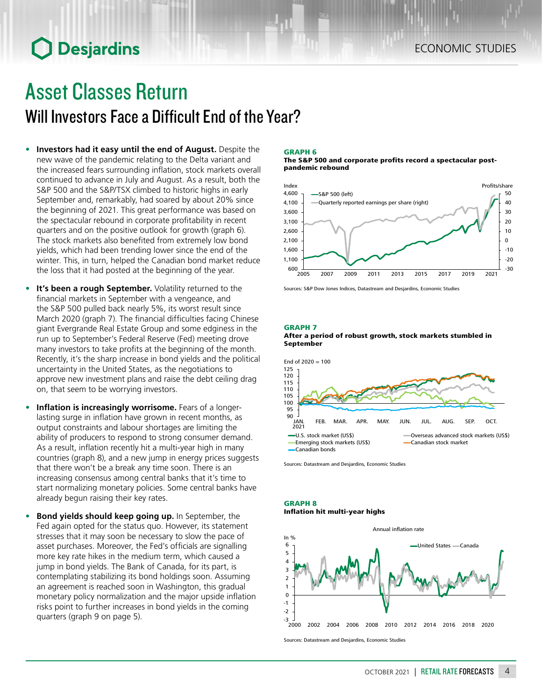# **O** Desjardins

# Asset Classes Return Will Investors Face a Difficult End of the Year?

- **• Investors had it easy until the end of August.** Despite the new wave of the pandemic relating to the Delta variant and the increased fears surrounding inflation, stock markets overall continued to advance in July and August. As a result, both the S&P 500 and the S&P/TSX climbed to historic highs in early September and, remarkably, had soared by about 20% since the beginning of 2021. This great performance was based on the spectacular rebound in corporate profitability in recent quarters and on the positive outlook for growth (graph 6). The stock markets also benefited from extremely low bond yields, which had been trending lower since the end of the winter. This, in turn, helped the Canadian bond market reduce the loss that it had posted at the beginning of the year.
- **• It's been a rough September.** Volatility returned to the financial markets in September with a vengeance, and the S&P 500 pulled back nearly 5%, its worst result since March 2020 (graph 7). The financial difficulties facing Chinese giant Evergrande Real Estate Group and some edginess in the run up to September's Federal Reserve (Fed) meeting drove many investors to take profits at the beginning of the month. Recently, it's the sharp increase in bond yields and the political uncertainty in the United States, as the negotiations to approve new investment plans and raise the debt ceiling drag on, that seem to be worrying investors.
- **• Inflation is increasingly worrisome.** Fears of a longerlasting surge in inflation have grown in recent months, as output constraints and labour shortages are limiting the ability of producers to respond to strong consumer demand. As a result, inflation recently hit a multi-year high in many countries (graph 8), and a new jump in energy prices suggests that there won't be a break any time soon. There is an increasing consensus among central banks that it's time to start normalizing monetary policies. Some central banks have already begun raising their key rates.
- **• Bond yields should keep going up.** In September, the Fed again opted for the status quo. However, its statement stresses that it may soon be necessary to slow the pace of asset purchases. Moreover, the Fed's officials are signalling more key rate hikes in the medium term, which caused a jump in bond yields. The Bank of Canada, for its part, is contemplating stabilizing its bond holdings soon. Assuming an agreement is reached soon in Washington, this gradual monetary policy normalization and the major upside inflation risks point to further increases in bond yields in the coming quarters (graph 9 on page 5).

### GRAPH 6

#### The S&P 500 and corporate profits record a spectacular postpandemic rebound



Sources: S&P Dow Jones Indices, Datastream and Desjardins, Economic Studies

### GRAPH 7





Sources: Datastream and Desjardins, Economic Studies

#### GRAPH 8 Inflation hit multi-year highs



Sources: Datastream and Desjardins, Economic Studies